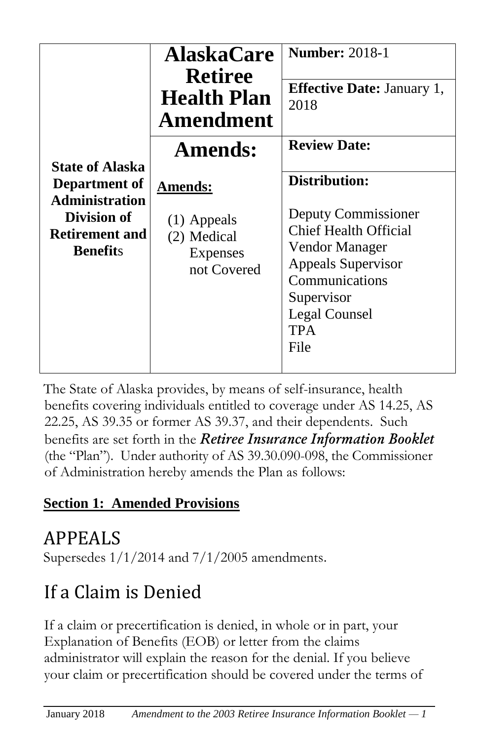| <b>State of Alaska</b><br>Department of<br><b>Administration</b><br>Division of<br><b>Retirement and</b><br><b>Benefits</b> | <b>AlaskaCare</b><br><b>Retiree</b><br><b>Health Plan</b><br>Amendment    | <b>Number: 2018-1</b><br><b>Effective Date: January 1,</b><br>2018                                                                                                                         |
|-----------------------------------------------------------------------------------------------------------------------------|---------------------------------------------------------------------------|--------------------------------------------------------------------------------------------------------------------------------------------------------------------------------------------|
|                                                                                                                             | <b>Amends:</b>                                                            | <b>Review Date:</b>                                                                                                                                                                        |
|                                                                                                                             | <b>Amends:</b><br>$(1)$ Appeals<br>(2) Medical<br>Expenses<br>not Covered | Distribution:<br>Deputy Commissioner<br><b>Chief Health Official</b><br>Vendor Manager<br>Appeals Supervisor<br>Communications<br>Supervisor<br><b>Legal Counsel</b><br><b>TPA</b><br>File |

The State of Alaska provides, by means of self-insurance, health benefits covering individuals entitled to coverage under AS 14.25, AS 22.25, AS 39.35 or former AS 39.37, and their dependents. Such benefits are set forth in the *Retiree Insurance Information Booklet*  (the "Plan"). Under authority of AS 39.30.090-098, the Commissioner of Administration hereby amends the Plan as follows:

#### **Section 1: Amended Provisions**

# APPEALS

Supersedes 1/1/2014 and 7/1/2005 amendments.

# If a Claim is Denied

If a claim or precertification is denied, in whole or in part, your Explanation of Benefits (EOB) or letter from the claims administrator will explain the reason for the denial. If you believe your claim or precertification should be covered under the terms of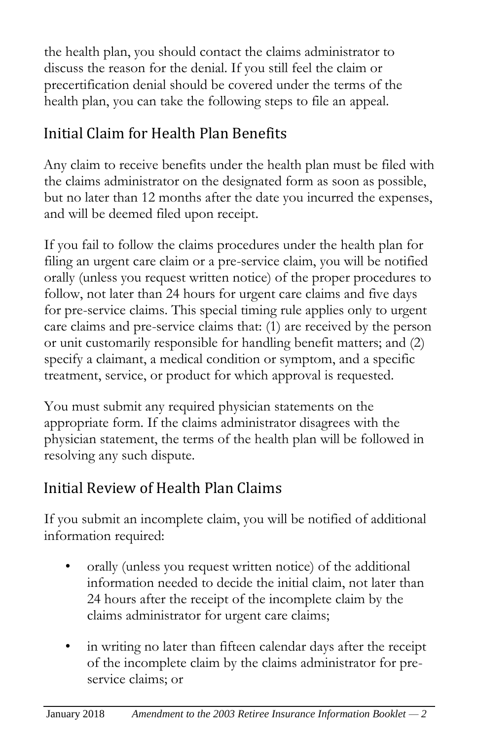the health plan, you should contact the claims administrator to discuss the reason for the denial. If you still feel the claim or precertification denial should be covered under the terms of the health plan, you can take the following steps to file an appeal.

#### Initial Claim for Health Plan Benefits

Any claim to receive benefits under the health plan must be filed with the claims administrator on the designated form as soon as possible, but no later than 12 months after the date you incurred the expenses, and will be deemed filed upon receipt.

If you fail to follow the claims procedures under the health plan for filing an urgent care claim or a pre-service claim, you will be notified orally (unless you request written notice) of the proper procedures to follow, not later than 24 hours for urgent care claims and five days for pre-service claims. This special timing rule applies only to urgent care claims and pre-service claims that: (1) are received by the person or unit customarily responsible for handling benefit matters; and (2) specify a claimant, a medical condition or symptom, and a specific treatment, service, or product for which approval is requested.

You must submit any required physician statements on the appropriate form. If the claims administrator disagrees with the physician statement, the terms of the health plan will be followed in resolving any such dispute.

#### Initial Review of Health Plan Claims

If you submit an incomplete claim, you will be notified of additional information required:

- orally (unless you request written notice) of the additional information needed to decide the initial claim, not later than 24 hours after the receipt of the incomplete claim by the claims administrator for urgent care claims;
- in writing no later than fifteen calendar days after the receipt of the incomplete claim by the claims administrator for preservice claims; or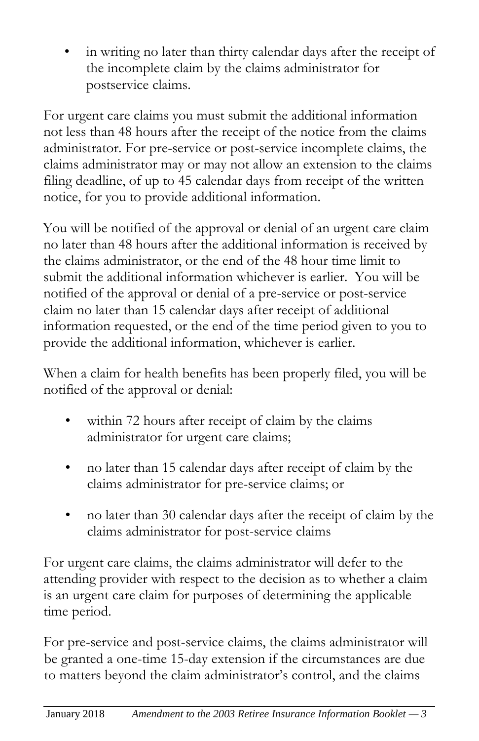in writing no later than thirty calendar days after the receipt of the incomplete claim by the claims administrator for postservice claims.

For urgent care claims you must submit the additional information not less than 48 hours after the receipt of the notice from the claims administrator. For pre-service or post-service incomplete claims, the claims administrator may or may not allow an extension to the claims filing deadline, of up to 45 calendar days from receipt of the written notice, for you to provide additional information.

You will be notified of the approval or denial of an urgent care claim no later than 48 hours after the additional information is received by the claims administrator, or the end of the 48 hour time limit to submit the additional information whichever is earlier. You will be notified of the approval or denial of a pre-service or post-service claim no later than 15 calendar days after receipt of additional information requested, or the end of the time period given to you to provide the additional information, whichever is earlier.

When a claim for health benefits has been properly filed, you will be notified of the approval or denial:

- within 72 hours after receipt of claim by the claims administrator for urgent care claims;
- no later than 15 calendar days after receipt of claim by the claims administrator for pre-service claims; or
- no later than 30 calendar days after the receipt of claim by the claims administrator for post-service claims

For urgent care claims, the claims administrator will defer to the attending provider with respect to the decision as to whether a claim is an urgent care claim for purposes of determining the applicable time period.

For pre-service and post-service claims, the claims administrator will be granted a one-time 15-day extension if the circumstances are due to matters beyond the claim administrator's control, and the claims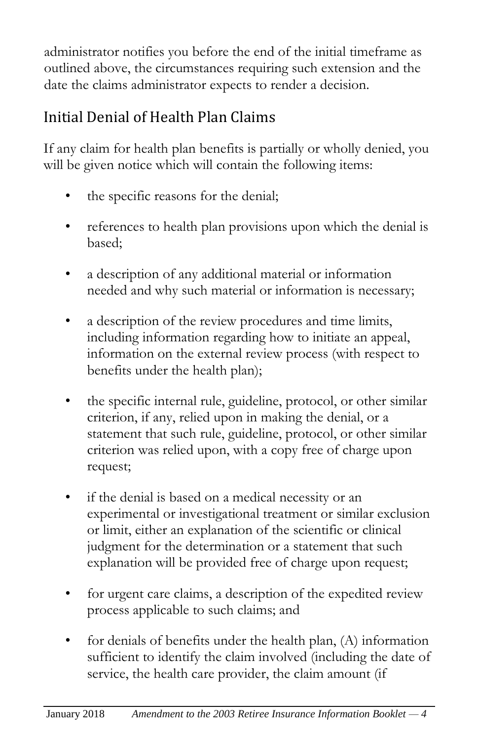administrator notifies you before the end of the initial timeframe as outlined above, the circumstances requiring such extension and the date the claims administrator expects to render a decision.

### Initial Denial of Health Plan Claims

If any claim for health plan benefits is partially or wholly denied, you will be given notice which will contain the following items:

- the specific reasons for the denial;
- references to health plan provisions upon which the denial is based;
- a description of any additional material or information needed and why such material or information is necessary;
- a description of the review procedures and time limits, including information regarding how to initiate an appeal, information on the external review process (with respect to benefits under the health plan);
- the specific internal rule, guideline, protocol, or other similar criterion, if any, relied upon in making the denial, or a statement that such rule, guideline, protocol, or other similar criterion was relied upon, with a copy free of charge upon request;
- if the denial is based on a medical necessity or an experimental or investigational treatment or similar exclusion or limit, either an explanation of the scientific or clinical judgment for the determination or a statement that such explanation will be provided free of charge upon request;
- for urgent care claims, a description of the expedited review process applicable to such claims; and
- for denials of benefits under the health plan, (A) information sufficient to identify the claim involved (including the date of service, the health care provider, the claim amount (if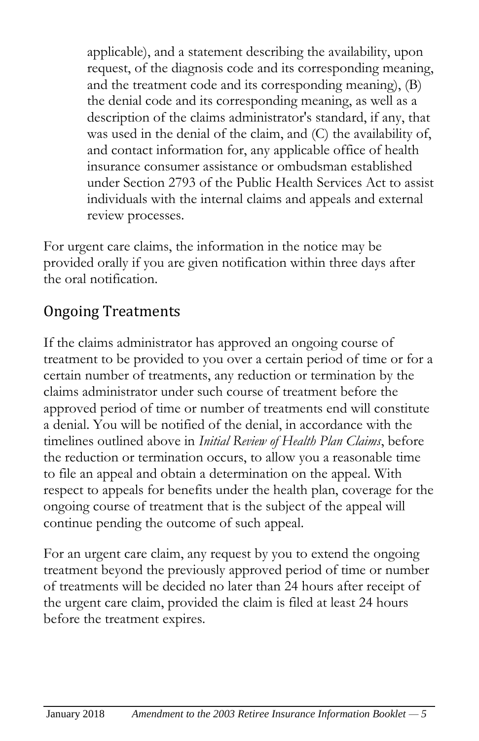applicable), and a statement describing the availability, upon request, of the diagnosis code and its corresponding meaning, and the treatment code and its corresponding meaning), (B) the denial code and its corresponding meaning, as well as a description of the claims administrator's standard, if any, that was used in the denial of the claim, and (C) the availability of, and contact information for, any applicable office of health insurance consumer assistance or ombudsman established under Section 2793 of the Public Health Services Act to assist individuals with the internal claims and appeals and external review processes.

For urgent care claims, the information in the notice may be provided orally if you are given notification within three days after the oral notification.

#### Ongoing Treatments

If the claims administrator has approved an ongoing course of treatment to be provided to you over a certain period of time or for a certain number of treatments, any reduction or termination by the claims administrator under such course of treatment before the approved period of time or number of treatments end will constitute a denial. You will be notified of the denial, in accordance with the timelines outlined above in *Initial Review of Health Plan Claims*, before the reduction or termination occurs, to allow you a reasonable time to file an appeal and obtain a determination on the appeal. With respect to appeals for benefits under the health plan, coverage for the ongoing course of treatment that is the subject of the appeal will continue pending the outcome of such appeal.

For an urgent care claim, any request by you to extend the ongoing treatment beyond the previously approved period of time or number of treatments will be decided no later than 24 hours after receipt of the urgent care claim, provided the claim is filed at least 24 hours before the treatment expires.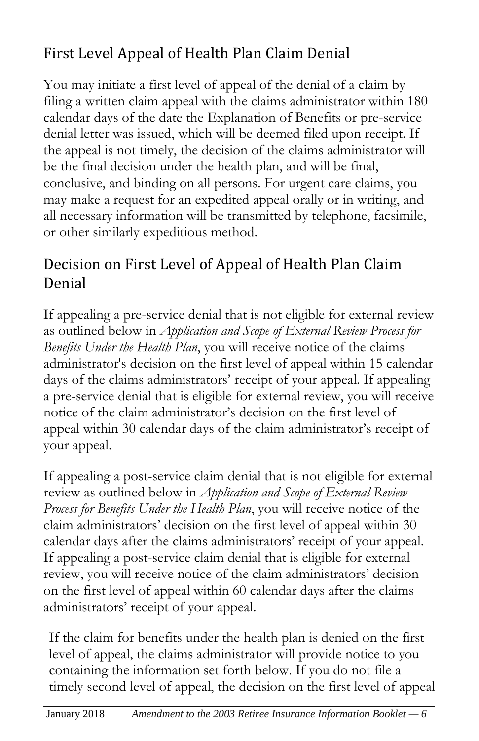### First Level Appeal of Health Plan Claim Denial

You may initiate a first level of appeal of the denial of a claim by filing a written claim appeal with the claims administrator within 180 calendar days of the date the Explanation of Benefits or pre-service denial letter was issued, which will be deemed filed upon receipt. If the appeal is not timely, the decision of the claims administrator will be the final decision under the health plan, and will be final, conclusive, and binding on all persons. For urgent care claims, you may make a request for an expedited appeal orally or in writing, and all necessary information will be transmitted by telephone, facsimile, or other similarly expeditious method.

#### Decision on First Level of Appeal of Health Plan Claim Denial

If appealing a pre-service denial that is not eligible for external review as outlined below in *Application and Scope of External Review Process for Benefits Under the Health Plan*, you will receive notice of the claims administrator's decision on the first level of appeal within 15 calendar days of the claims administrators' receipt of your appeal. If appealing a pre-service denial that is eligible for external review, you will receive notice of the claim administrator's decision on the first level of appeal within 30 calendar days of the claim administrator's receipt of your appeal.

If appealing a post-service claim denial that is not eligible for external review as outlined below in *Application and Scope of External Review Process for Benefits Under the Health Plan*, you will receive notice of the claim administrators' decision on the first level of appeal within 30 calendar days after the claims administrators' receipt of your appeal. If appealing a post-service claim denial that is eligible for external review, you will receive notice of the claim administrators' decision on the first level of appeal within 60 calendar days after the claims administrators' receipt of your appeal.

If the claim for benefits under the health plan is denied on the first level of appeal, the claims administrator will provide notice to you containing the information set forth below. If you do not file a timely second level of appeal, the decision on the first level of appeal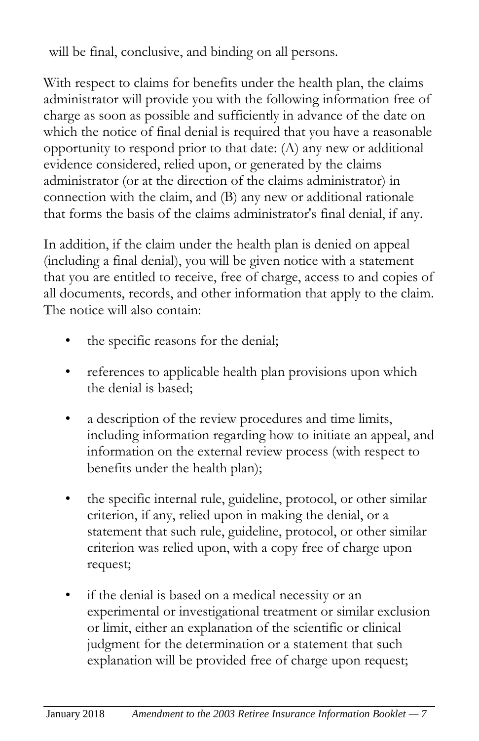will be final, conclusive, and binding on all persons.

With respect to claims for benefits under the health plan, the claims administrator will provide you with the following information free of charge as soon as possible and sufficiently in advance of the date on which the notice of final denial is required that you have a reasonable opportunity to respond prior to that date: (A) any new or additional evidence considered, relied upon, or generated by the claims administrator (or at the direction of the claims administrator) in connection with the claim, and (B) any new or additional rationale that forms the basis of the claims administrator's final denial, if any.

In addition, if the claim under the health plan is denied on appeal (including a final denial), you will be given notice with a statement that you are entitled to receive, free of charge, access to and copies of all documents, records, and other information that apply to the claim. The notice will also contain:

- the specific reasons for the denial;
- references to applicable health plan provisions upon which the denial is based;
- a description of the review procedures and time limits, including information regarding how to initiate an appeal, and information on the external review process (with respect to benefits under the health plan);
- the specific internal rule, guideline, protocol, or other similar criterion, if any, relied upon in making the denial, or a statement that such rule, guideline, protocol, or other similar criterion was relied upon, with a copy free of charge upon request;
- if the denial is based on a medical necessity or an experimental or investigational treatment or similar exclusion or limit, either an explanation of the scientific or clinical judgment for the determination or a statement that such explanation will be provided free of charge upon request;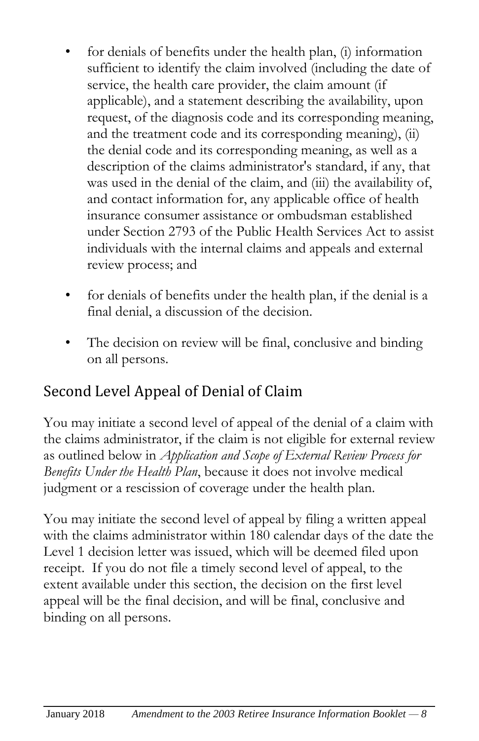- for denials of benefits under the health plan, (i) information sufficient to identify the claim involved (including the date of service, the health care provider, the claim amount (if applicable), and a statement describing the availability, upon request, of the diagnosis code and its corresponding meaning, and the treatment code and its corresponding meaning), (ii) the denial code and its corresponding meaning, as well as a description of the claims administrator's standard, if any, that was used in the denial of the claim, and (iii) the availability of, and contact information for, any applicable office of health insurance consumer assistance or ombudsman established under Section 2793 of the Public Health Services Act to assist individuals with the internal claims and appeals and external review process; and
- for denials of benefits under the health plan, if the denial is a final denial, a discussion of the decision.
- The decision on review will be final, conclusive and binding on all persons.

### Second Level Appeal of Denial of Claim

You may initiate a second level of appeal of the denial of a claim with the claims administrator, if the claim is not eligible for external review as outlined below in *Application and Scope of External Review Process for Benefits Under the Health Plan*, because it does not involve medical judgment or a rescission of coverage under the health plan.

You may initiate the second level of appeal by filing a written appeal with the claims administrator within 180 calendar days of the date the Level 1 decision letter was issued, which will be deemed filed upon receipt. If you do not file a timely second level of appeal, to the extent available under this section, the decision on the first level appeal will be the final decision, and will be final, conclusive and binding on all persons.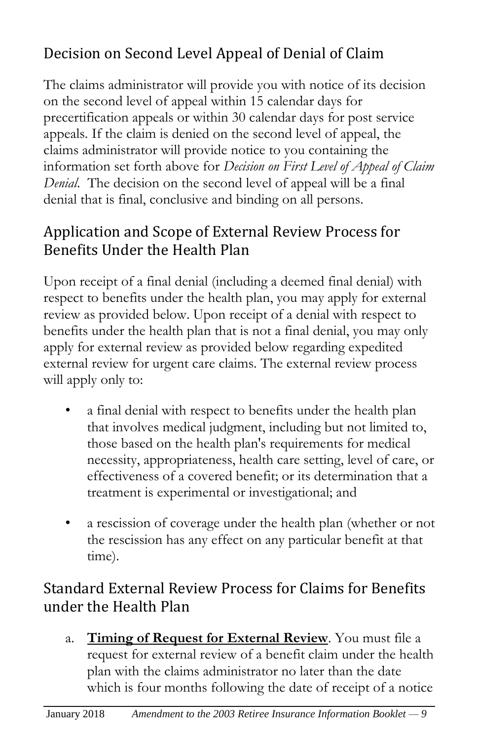### Decision on Second Level Appeal of Denial of Claim

The claims administrator will provide you with notice of its decision on the second level of appeal within 15 calendar days for precertification appeals or within 30 calendar days for post service appeals. If the claim is denied on the second level of appeal, the claims administrator will provide notice to you containing the information set forth above for *Decision on First Level of Appeal of Claim Denial*. The decision on the second level of appeal will be a final denial that is final, conclusive and binding on all persons.

#### Application and Scope of External Review Process for Benefits Under the Health Plan

Upon receipt of a final denial (including a deemed final denial) with respect to benefits under the health plan, you may apply for external review as provided below. Upon receipt of a denial with respect to benefits under the health plan that is not a final denial, you may only apply for external review as provided below regarding expedited external review for urgent care claims. The external review process will apply only to:

- a final denial with respect to benefits under the health plan that involves medical judgment, including but not limited to, those based on the health plan's requirements for medical necessity, appropriateness, health care setting, level of care, or effectiveness of a covered benefit; or its determination that a treatment is experimental or investigational; and
- a rescission of coverage under the health plan (whether or not the rescission has any effect on any particular benefit at that time).

#### Standard External Review Process for Claims for Benefits under the Health Plan

a. **Timing of Request for External Review**. You must file a request for external review of a benefit claim under the health plan with the claims administrator no later than the date which is four months following the date of receipt of a notice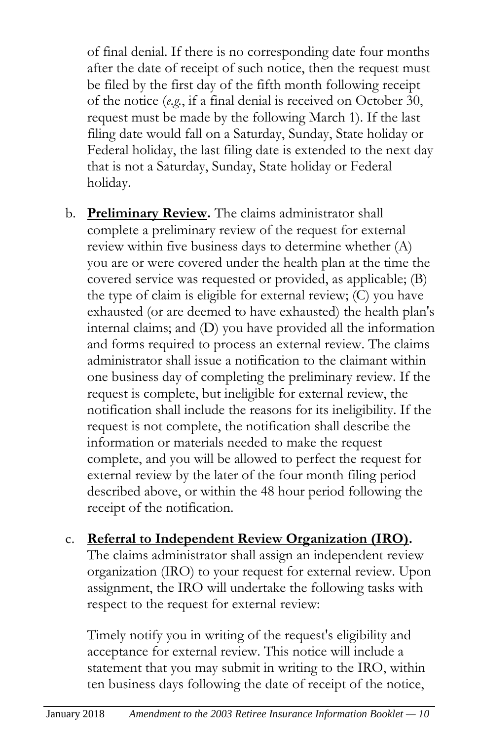of final denial. If there is no corresponding date four months after the date of receipt of such notice, then the request must be filed by the first day of the fifth month following receipt of the notice (*e.g.*, if a final denial is received on October 30, request must be made by the following March 1). If the last filing date would fall on a Saturday, Sunday, State holiday or Federal holiday, the last filing date is extended to the next day that is not a Saturday, Sunday, State holiday or Federal holiday.

- b. **Preliminary Review.** The claims administrator shall complete a preliminary review of the request for external review within five business days to determine whether (A) you are or were covered under the health plan at the time the covered service was requested or provided, as applicable; (B) the type of claim is eligible for external review; (C) you have exhausted (or are deemed to have exhausted) the health plan's internal claims; and (D) you have provided all the information and forms required to process an external review. The claims administrator shall issue a notification to the claimant within one business day of completing the preliminary review. If the request is complete, but ineligible for external review, the notification shall include the reasons for its ineligibility. If the request is not complete, the notification shall describe the information or materials needed to make the request complete, and you will be allowed to perfect the request for external review by the later of the four month filing period described above, or within the 48 hour period following the receipt of the notification.
- c. **Referral to Independent Review Organization (IRO).** The claims administrator shall assign an independent review organization (IRO) to your request for external review. Upon assignment, the IRO will undertake the following tasks with respect to the request for external review:

Timely notify you in writing of the request's eligibility and acceptance for external review. This notice will include a statement that you may submit in writing to the IRO, within ten business days following the date of receipt of the notice,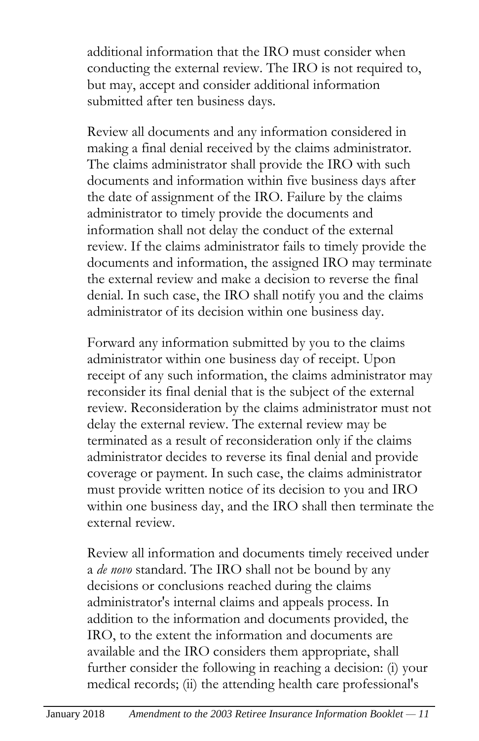additional information that the IRO must consider when conducting the external review. The IRO is not required to, but may, accept and consider additional information submitted after ten business days.

Review all documents and any information considered in making a final denial received by the claims administrator. The claims administrator shall provide the IRO with such documents and information within five business days after the date of assignment of the IRO. Failure by the claims administrator to timely provide the documents and information shall not delay the conduct of the external review. If the claims administrator fails to timely provide the documents and information, the assigned IRO may terminate the external review and make a decision to reverse the final denial. In such case, the IRO shall notify you and the claims administrator of its decision within one business day.

Forward any information submitted by you to the claims administrator within one business day of receipt. Upon receipt of any such information, the claims administrator may reconsider its final denial that is the subject of the external review. Reconsideration by the claims administrator must not delay the external review. The external review may be terminated as a result of reconsideration only if the claims administrator decides to reverse its final denial and provide coverage or payment. In such case, the claims administrator must provide written notice of its decision to you and IRO within one business day, and the IRO shall then terminate the external review.

Review all information and documents timely received under a *de novo* standard. The IRO shall not be bound by any decisions or conclusions reached during the claims administrator's internal claims and appeals process. In addition to the information and documents provided, the IRO, to the extent the information and documents are available and the IRO considers them appropriate, shall further consider the following in reaching a decision: (i) your medical records; (ii) the attending health care professional's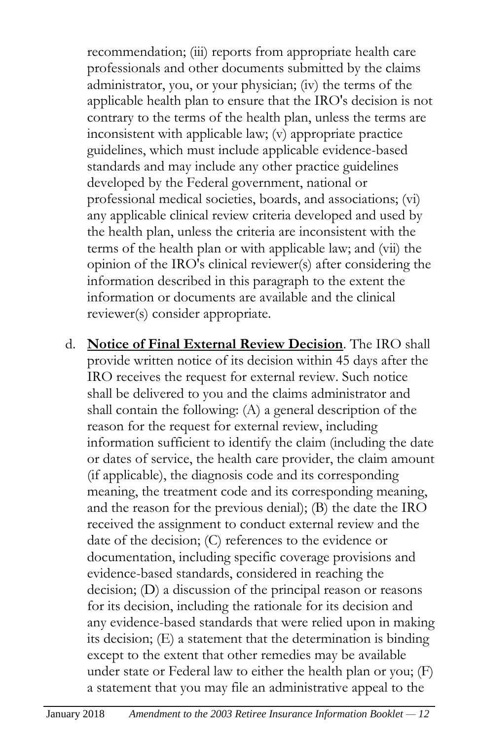recommendation; (iii) reports from appropriate health care professionals and other documents submitted by the claims administrator, you, or your physician; (iv) the terms of the applicable health plan to ensure that the IRO's decision is not contrary to the terms of the health plan, unless the terms are inconsistent with applicable law; (v) appropriate practice guidelines, which must include applicable evidence-based standards and may include any other practice guidelines developed by the Federal government, national or professional medical societies, boards, and associations; (vi) any applicable clinical review criteria developed and used by the health plan, unless the criteria are inconsistent with the terms of the health plan or with applicable law; and (vii) the opinion of the IRO's clinical reviewer(s) after considering the information described in this paragraph to the extent the information or documents are available and the clinical reviewer(s) consider appropriate.

d. **Notice of Final External Review Decision**. The IRO shall provide written notice of its decision within 45 days after the IRO receives the request for external review. Such notice shall be delivered to you and the claims administrator and shall contain the following: (A) a general description of the reason for the request for external review, including information sufficient to identify the claim (including the date or dates of service, the health care provider, the claim amount (if applicable), the diagnosis code and its corresponding meaning, the treatment code and its corresponding meaning, and the reason for the previous denial); (B) the date the IRO received the assignment to conduct external review and the date of the decision; (C) references to the evidence or documentation, including specific coverage provisions and evidence-based standards, considered in reaching the decision; (D) a discussion of the principal reason or reasons for its decision, including the rationale for its decision and any evidence-based standards that were relied upon in making its decision; (E) a statement that the determination is binding except to the extent that other remedies may be available under state or Federal law to either the health plan or you; (F) a statement that you may file an administrative appeal to the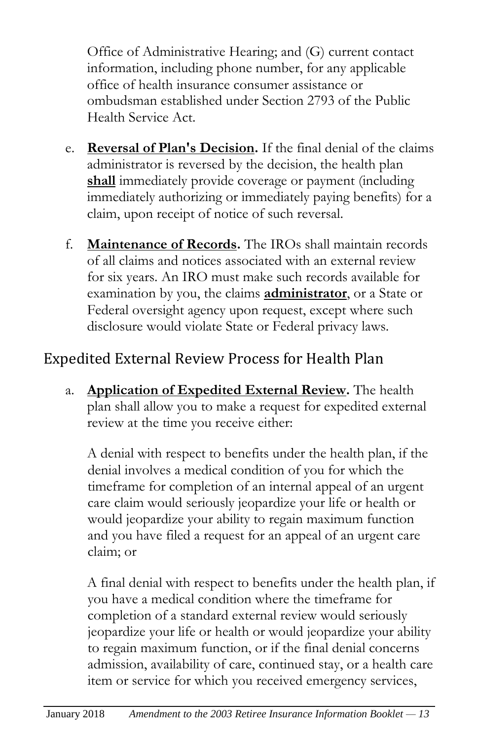Office of Administrative Hearing; and (G) current contact information, including phone number, for any applicable office of health insurance consumer assistance or ombudsman established under Section 2793 of the Public Health Service Act.

- e. **Reversal of Plan's Decision.** If the final denial of the claims administrator is reversed by the decision, the health plan **shall** immediately provide coverage or payment (including immediately authorizing or immediately paying benefits) for a claim, upon receipt of notice of such reversal.
- f. **Maintenance of Records.** The IROs shall maintain records of all claims and notices associated with an external review for six years. An IRO must make such records available for examination by you, the claims **administrator**, or a State or Federal oversight agency upon request, except where such disclosure would violate State or Federal privacy laws.

#### Expedited External Review Process for Health Plan

a. **Application of Expedited External Review.** The health plan shall allow you to make a request for expedited external review at the time you receive either:

A denial with respect to benefits under the health plan, if the denial involves a medical condition of you for which the timeframe for completion of an internal appeal of an urgent care claim would seriously jeopardize your life or health or would jeopardize your ability to regain maximum function and you have filed a request for an appeal of an urgent care claim; or

A final denial with respect to benefits under the health plan, if you have a medical condition where the timeframe for completion of a standard external review would seriously jeopardize your life or health or would jeopardize your ability to regain maximum function, or if the final denial concerns admission, availability of care, continued stay, or a health care item or service for which you received emergency services,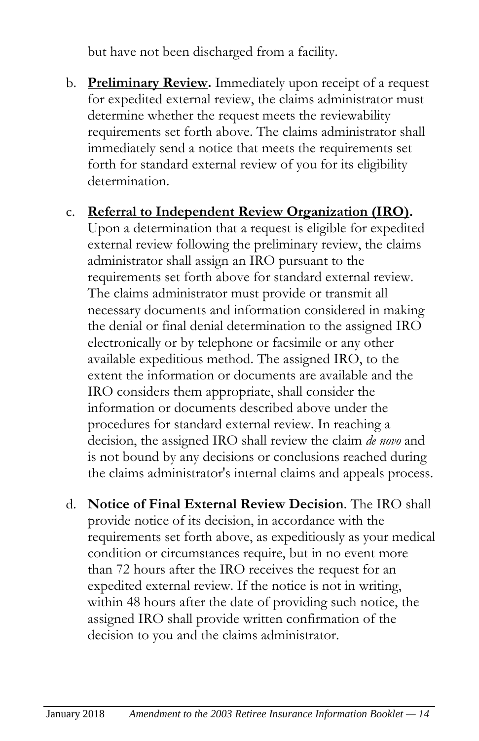but have not been discharged from a facility.

b. **Preliminary Review.** Immediately upon receipt of a request for expedited external review, the claims administrator must determine whether the request meets the reviewability requirements set forth above. The claims administrator shall immediately send a notice that meets the requirements set forth for standard external review of you for its eligibility determination.

#### c. **Referral to Independent Review Organization (IRO).**

Upon a determination that a request is eligible for expedited external review following the preliminary review, the claims administrator shall assign an IRO pursuant to the requirements set forth above for standard external review. The claims administrator must provide or transmit all necessary documents and information considered in making the denial or final denial determination to the assigned IRO electronically or by telephone or facsimile or any other available expeditious method. The assigned IRO, to the extent the information or documents are available and the IRO considers them appropriate, shall consider the information or documents described above under the procedures for standard external review. In reaching a decision, the assigned IRO shall review the claim *de novo* and is not bound by any decisions or conclusions reached during the claims administrator's internal claims and appeals process.

d. **Notice of Final External Review Decision**. The IRO shall provide notice of its decision, in accordance with the requirements set forth above, as expeditiously as your medical condition or circumstances require, but in no event more than 72 hours after the IRO receives the request for an expedited external review. If the notice is not in writing, within 48 hours after the date of providing such notice, the assigned IRO shall provide written confirmation of the decision to you and the claims administrator.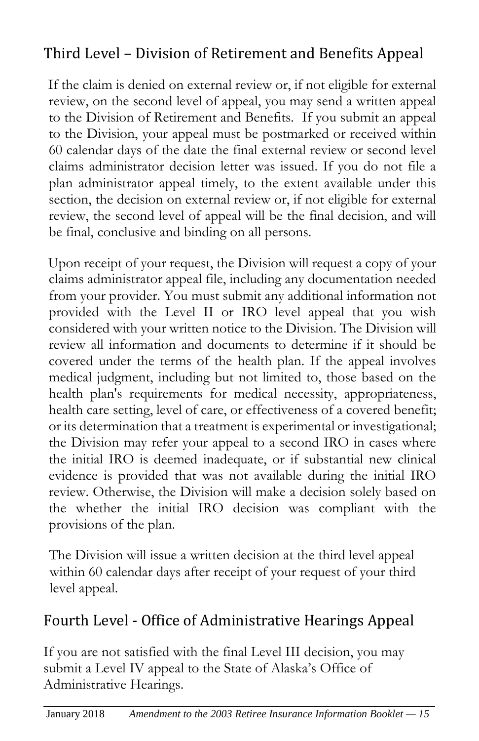#### Third Level – Division of Retirement and Benefits Appeal

If the claim is denied on external review or, if not eligible for external review, on the second level of appeal, you may send a written appeal to the Division of Retirement and Benefits. If you submit an appeal to the Division, your appeal must be postmarked or received within 60 calendar days of the date the final external review or second level claims administrator decision letter was issued. If you do not file a plan administrator appeal timely, to the extent available under this section, the decision on external review or, if not eligible for external review, the second level of appeal will be the final decision, and will be final, conclusive and binding on all persons.

Upon receipt of your request, the Division will request a copy of your claims administrator appeal file, including any documentation needed from your provider. You must submit any additional information not provided with the Level II or IRO level appeal that you wish considered with your written notice to the Division. The Division will review all information and documents to determine if it should be covered under the terms of the health plan. If the appeal involves medical judgment, including but not limited to, those based on the health plan's requirements for medical necessity, appropriateness, health care setting, level of care, or effectiveness of a covered benefit; or its determination that a treatment is experimental or investigational; the Division may refer your appeal to a second IRO in cases where the initial IRO is deemed inadequate, or if substantial new clinical evidence is provided that was not available during the initial IRO review. Otherwise, the Division will make a decision solely based on the whether the initial IRO decision was compliant with the provisions of the plan.

The Division will issue a written decision at the third level appeal within 60 calendar days after receipt of your request of your third level appeal.

#### Fourth Level - Office of Administrative Hearings Appeal

If you are not satisfied with the final Level III decision, you may submit a Level IV appeal to the State of Alaska's Office of Administrative Hearings.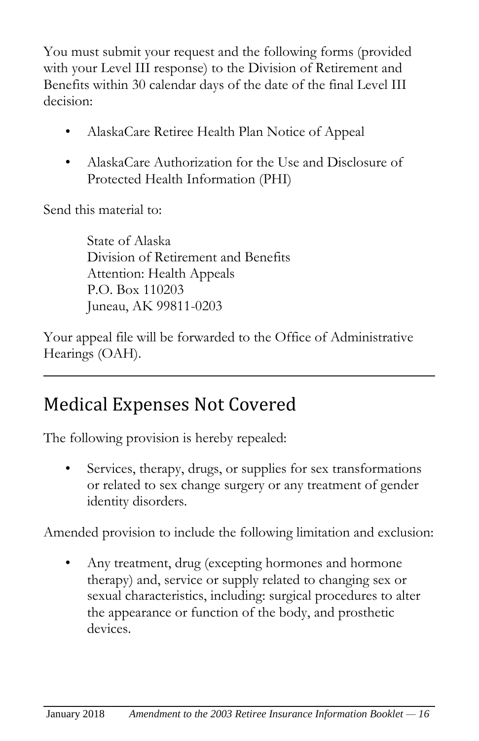You must submit your request and the following forms (provided with your Level III response) to the Division of Retirement and Benefits within 30 calendar days of the date of the final Level III decision:

- AlaskaCare Retiree Health Plan Notice of Appeal
- AlaskaCare Authorization for the Use and Disclosure of Protected Health Information (PHI)

Send this material to:

State of Alaska Division of Retirement and Benefits Attention: Health Appeals P.O. Box 110203 Juneau, AK 99811-0203

Your appeal file will be forwarded to the Office of Administrative Hearings (OAH).

## Medical Expenses Not Covered

The following provision is hereby repealed:

Services, therapy, drugs, or supplies for sex transformations or related to sex change surgery or any treatment of gender identity disorders.

Amended provision to include the following limitation and exclusion:

• Any treatment, drug (excepting hormones and hormone therapy) and, service or supply related to changing sex or sexual characteristics, including: surgical procedures to alter the appearance or function of the body, and prosthetic devices.